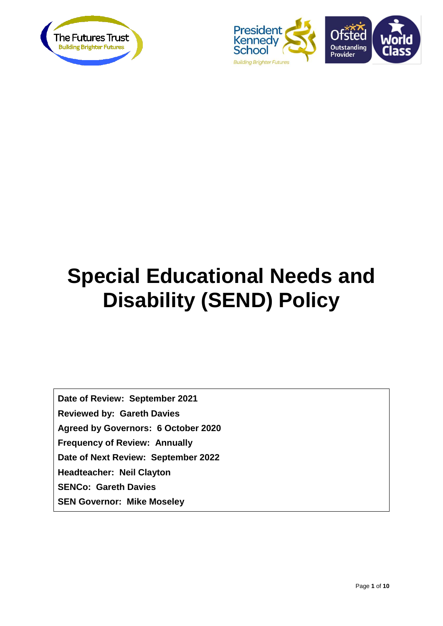



# **Special Educational Needs and Disability (SEND) Policy**

**Date of Review: September 2021 Reviewed by: Gareth Davies Agreed by Governors: 6 October 2020 Frequency of Review: Annually Date of Next Review: September 2022 Headteacher: Neil Clayton SENCo: Gareth Davies SEN Governor: Mike Moseley**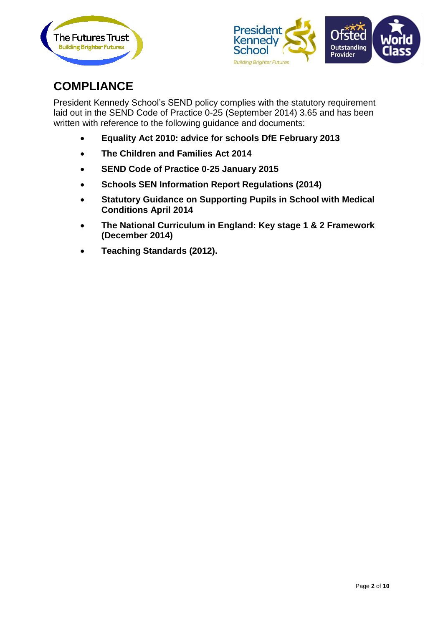



# **COMPLIANCE**

President Kennedy School's SEND policy complies with the statutory requirement laid out in the SEND Code of Practice 0-25 (September 2014) 3.65 and has been written with reference to the following guidance and documents:

- **Equality Act 2010: advice for schools DfE February 2013**
- **The Children and Families Act 2014**
- **SEND Code of Practice 0-25 January 2015**
- **Schools SEN Information Report Regulations (2014)**
- **Statutory Guidance on Supporting Pupils in School with Medical Conditions April 2014**
- **The National Curriculum in England: Key stage 1 & 2 Framework (December 2014)**
- **Teaching Standards (2012).**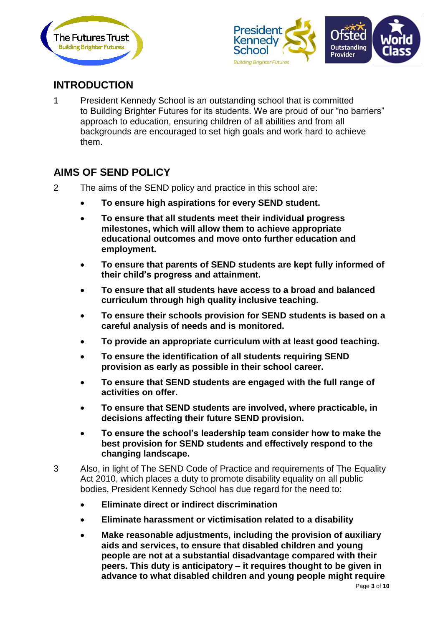



# **INTRODUCTION**

1 President Kennedy School is an outstanding school that is committed to Building Brighter Futures for its students. We are proud of our "no barriers" approach to education, ensuring children of all abilities and from all backgrounds are encouraged to set high goals and work hard to achieve them.

#### **AIMS OF SEND POLICY**

- 2 The aims of the SEND policy and practice in this school are:
	- **To ensure high aspirations for every SEND student.**
	- **To ensure that all students meet their individual progress milestones, which will allow them to achieve appropriate educational outcomes and move onto further education and employment.**
	- **To ensure that parents of SEND students are kept fully informed of their child's progress and attainment.**
	- **To ensure that all students have access to a broad and balanced curriculum through high quality inclusive teaching.**
	- **To ensure their schools provision for SEND students is based on a careful analysis of needs and is monitored.**
	- **To provide an appropriate curriculum with at least good teaching.**
	- **To ensure the identification of all students requiring SEND provision as early as possible in their school career.**
	- **To ensure that SEND students are engaged with the full range of activities on offer.**
	- **To ensure that SEND students are involved, where practicable, in decisions affecting their future SEND provision.**
	- **To ensure the school's leadership team consider how to make the best provision for SEND students and effectively respond to the changing landscape.**
- 3 Also, in light of The SEND Code of Practice and requirements of The Equality Act 2010, which places a duty to promote disability equality on all public bodies, President Kennedy School has due regard for the need to:
	- **Eliminate direct or indirect discrimination**
	- **Eliminate harassment or victimisation related to a disability**
	- **Make reasonable adjustments, including the provision of auxiliary aids and services, to ensure that disabled children and young people are not at a substantial disadvantage compared with their peers. This duty is anticipatory – it requires thought to be given in advance to what disabled children and young people might require**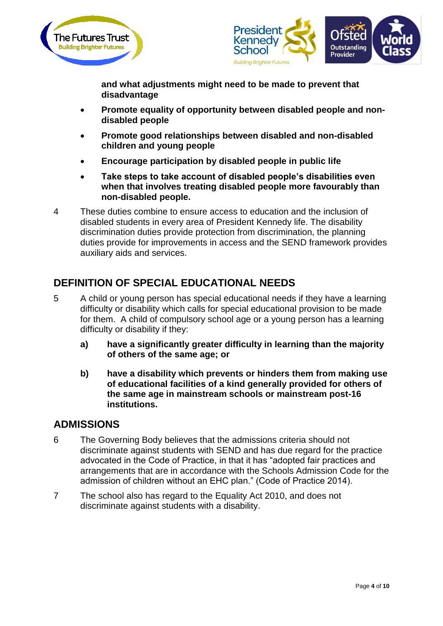



**and what adjustments might need to be made to prevent that disadvantage**

- **Promote equality of opportunity between disabled people and nondisabled people**
- **Promote good relationships between disabled and non-disabled children and young people**
- **Encourage participation by disabled people in public life**
- **Take steps to take account of disabled people's disabilities even when that involves treating disabled people more favourably than non-disabled people.**
- 4 These duties combine to ensure access to education and the inclusion of disabled students in every area of President Kennedy life. The disability discrimination duties provide protection from discrimination, the planning duties provide for improvements in access and the SEND framework provides auxiliary aids and services.

# **DEFINITION OF SPECIAL EDUCATIONAL NEEDS**

- 5 A child or young person has special educational needs if they have a learning difficulty or disability which calls for special educational provision to be made for them. A child of compulsory school age or a young person has a learning difficulty or disability if they:
	- **a) have a significantly greater difficulty in learning than the majority of others of the same age; or**
	- **b) have a disability which prevents or hinders them from making use of educational facilities of a kind generally provided for others of the same age in mainstream schools or mainstream post-16 institutions.**

#### **ADMISSIONS**

- 6 The Governing Body believes that the admissions criteria should not discriminate against students with SEND and has due regard for the practice advocated in the Code of Practice, in that it has "adopted fair practices and arrangements that are in accordance with the Schools Admission Code for the admission of children without an EHC plan." (Code of Practice 2014).
- 7 The school also has regard to the Equality Act 2010, and does not discriminate against students with a disability.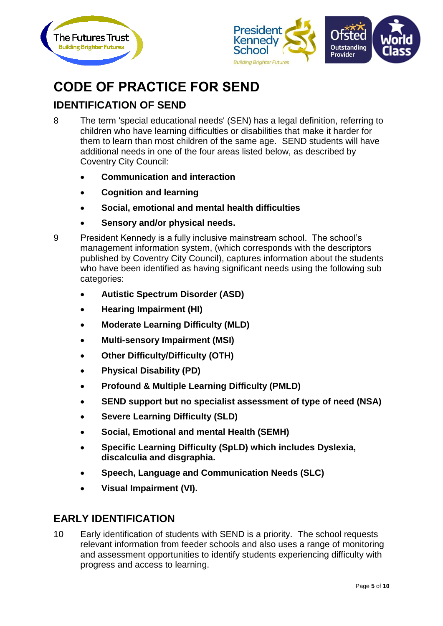



# **CODE OF PRACTICE FOR SEND**

# **IDENTIFICATION OF SEND**

- 8 The term 'special educational needs' (SEN) has a legal definition, referring to children who have learning difficulties or disabilities that make it harder for them to learn than most children of the same age. SEND students will have additional needs in one of the four areas listed below, as described by Coventry City Council:
	- **Communication and interaction**
	- **Cognition and learning**
	- **Social, emotional and mental health difficulties**
	- **Sensory and/or physical needs.**
- 9 President Kennedy is a fully inclusive mainstream school. The school's management information system, (which corresponds with the descriptors published by Coventry City Council), captures information about the students who have been identified as having significant needs using the following sub categories:
	- **Autistic Spectrum Disorder (ASD)**
	- **Hearing Impairment (HI)**
	- **Moderate Learning Difficulty (MLD)**
	- **Multi-sensory Impairment (MSI)**
	- **Other Difficulty/Difficulty (OTH)**
	- **Physical Disability (PD)**
	- **Profound & Multiple Learning Difficulty (PMLD)**
	- **SEND support but no specialist assessment of type of need (NSA)**
	- **Severe Learning Difficulty (SLD)**
	- **Social, Emotional and mental Health (SEMH)**
	- **Specific Learning Difficulty (SpLD) which includes Dyslexia, discalculia and disgraphia.**
	- **Speech, Language and Communication Needs (SLC)**
	- **Visual Impairment (VI).**

#### **EARLY IDENTIFICATION**

10 Early identification of students with SEND is a priority. The school requests relevant information from feeder schools and also uses a range of monitoring and assessment opportunities to identify students experiencing difficulty with progress and access to learning.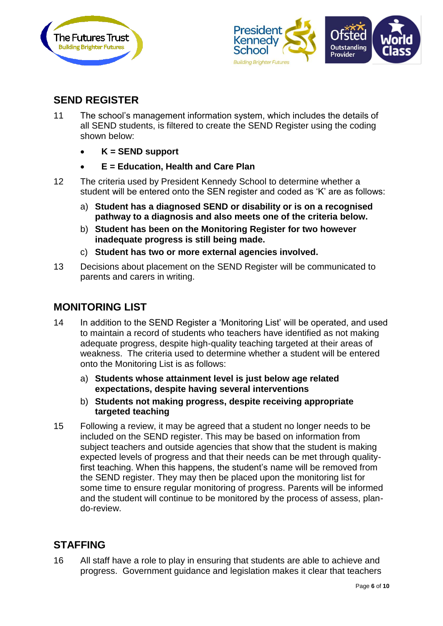



#### **SEND REGISTER**

- 11 The school's management information system, which includes the details of all SEND students, is filtered to create the SEND Register using the coding shown below:
	- **K = SEND support**
	- **E = Education, Health and Care Plan**
- 12 The criteria used by President Kennedy School to determine whether a student will be entered onto the SEN register and coded as 'K' are as follows:
	- a) **Student has a diagnosed SEND or disability or is on a recognised pathway to a diagnosis and also meets one of the criteria below.**
	- b) **Student has been on the Monitoring Register for two however inadequate progress is still being made.**
	- c) **Student has two or more external agencies involved.**
- 13 Decisions about placement on the SEND Register will be communicated to parents and carers in writing.

#### **MONITORING LIST**

- 14 In addition to the SEND Register a 'Monitoring List' will be operated, and used to maintain a record of students who teachers have identified as not making adequate progress, despite high-quality teaching targeted at their areas of weakness. The criteria used to determine whether a student will be entered onto the Monitoring List is as follows:
	- a) **Students whose attainment level is just below age related expectations, despite having several interventions**
	- b) **Students not making progress, despite receiving appropriate targeted teaching**
- 15 Following a review, it may be agreed that a student no longer needs to be included on the SEND register. This may be based on information from subject teachers and outside agencies that show that the student is making expected levels of progress and that their needs can be met through qualityfirst teaching. When this happens, the student's name will be removed from the SEND register. They may then be placed upon the monitoring list for some time to ensure regular monitoring of progress. Parents will be informed and the student will continue to be monitored by the process of assess, plando-review.

#### **STAFFING**

16 All staff have a role to play in ensuring that students are able to achieve and progress. Government guidance and legislation makes it clear that teachers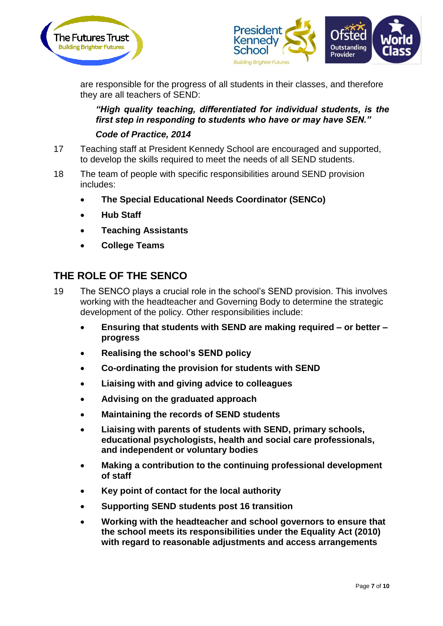



are responsible for the progress of all students in their classes, and therefore they are all teachers of SEND:

#### *"High quality teaching, differentiated for individual students, is the first step in responding to students who have or may have SEN."*

#### *Code of Practice, 2014*

- 17 Teaching staff at President Kennedy School are encouraged and supported, to develop the skills required to meet the needs of all SEND students.
- 18 The team of people with specific responsibilities around SEND provision includes:
	- **The Special Educational Needs Coordinator (SENCo)**
	- **Hub Staff**
	- **Teaching Assistants**
	- **College Teams**

#### **THE ROLE OF THE SENCO**

- 19 The SENCO plays a crucial role in the school's SEND provision. This involves working with the headteacher and Governing Body to determine the strategic development of the policy. Other responsibilities include:
	- **Ensuring that students with SEND are making required – or better – progress**
	- **Realising the school's SEND policy**
	- **Co-ordinating the provision for students with SEND**
	- **Liaising with and giving advice to colleagues**
	- **Advising on the graduated approach**
	- **Maintaining the records of SEND students**
	- **Liaising with parents of students with SEND, primary schools, educational psychologists, health and social care professionals, and independent or voluntary bodies**
	- **Making a contribution to the continuing professional development of staff**
	- **Key point of contact for the local authority**
	- **Supporting SEND students post 16 transition**
	- **Working with the headteacher and school governors to ensure that the school meets its responsibilities under the Equality Act (2010) with regard to reasonable adjustments and access arrangements**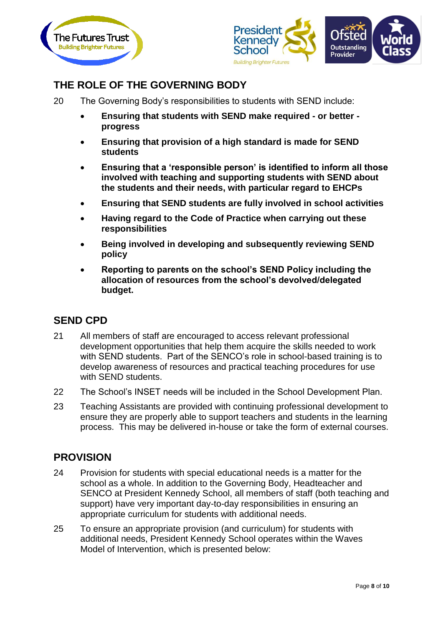



# **THE ROLE OF THE GOVERNING BODY**

- 20 The Governing Body's responsibilities to students with SEND include:
	- **Ensuring that students with SEND make required - or better progress**
	- **Ensuring that provision of a high standard is made for SEND students**
	- **Ensuring that a 'responsible person' is identified to inform all those involved with teaching and supporting students with SEND about the students and their needs, with particular regard to EHCPs**
	- **Ensuring that SEND students are fully involved in school activities**
	- **Having regard to the Code of Practice when carrying out these responsibilities**
	- **Being involved in developing and subsequently reviewing SEND policy**
	- **Reporting to parents on the school's SEND Policy including the allocation of resources from the school's devolved/delegated budget.**

#### **SEND CPD**

- 21 All members of staff are encouraged to access relevant professional development opportunities that help them acquire the skills needed to work with SEND students. Part of the SENCO's role in school-based training is to develop awareness of resources and practical teaching procedures for use with SEND students.
- 22 The School's INSET needs will be included in the School Development Plan.
- 23 Teaching Assistants are provided with continuing professional development to ensure they are properly able to support teachers and students in the learning process. This may be delivered in-house or take the form of external courses.

#### **PROVISION**

- 24 Provision for students with special educational needs is a matter for the school as a whole. In addition to the Governing Body, Headteacher and SENCO at President Kennedy School, all members of staff (both teaching and support) have very important day-to-day responsibilities in ensuring an appropriate curriculum for students with additional needs.
- 25 To ensure an appropriate provision (and curriculum) for students with additional needs, President Kennedy School operates within the Waves Model of Intervention, which is presented below: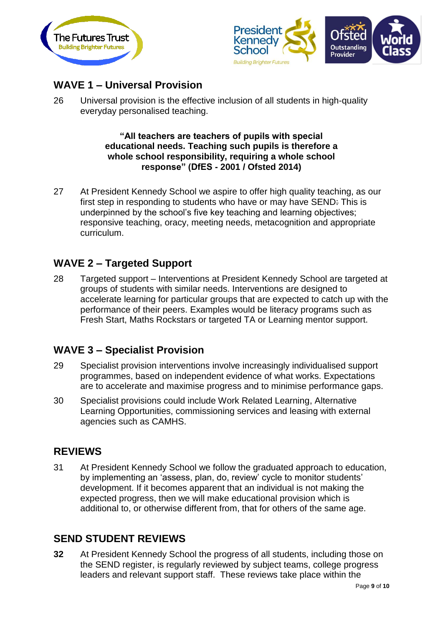



# **WAVE 1 – Universal Provision**

26 Universal provision is the effective inclusion of all students in high-quality everyday personalised teaching.

> **"All teachers are teachers of pupils with special educational needs. Teaching such pupils is therefore a whole school responsibility, requiring a whole school response" (DfES - 2001 / Ofsted 2014)**

27 At President Kennedy School we aspire to offer high quality teaching, as our first step in responding to students who have or may have SEND: This is underpinned by the school's five key teaching and learning objectives; responsive teaching, oracy, meeting needs, metacognition and appropriate curriculum.

# **WAVE 2 – Targeted Support**

28 Targeted support – Interventions at President Kennedy School are targeted at groups of students with similar needs. Interventions are designed to accelerate learning for particular groups that are expected to catch up with the performance of their peers. Examples would be literacy programs such as Fresh Start, Maths Rockstars or targeted TA or Learning mentor support.

#### **WAVE 3 – Specialist Provision**

- 29 Specialist provision interventions involve increasingly individualised support programmes, based on independent evidence of what works. Expectations are to accelerate and maximise progress and to minimise performance gaps.
- 30 Specialist provisions could include Work Related Learning, Alternative Learning Opportunities, commissioning services and leasing with external agencies such as CAMHS.

#### **REVIEWS**

31 At President Kennedy School we follow the graduated approach to education, by implementing an 'assess, plan, do, review' cycle to monitor students' development. If it becomes apparent that an individual is not making the expected progress, then we will make educational provision which is additional to, or otherwise different from, that for others of the same age.

#### **SEND STUDENT REVIEWS**

**32** At President Kennedy School the progress of all students, including those on the SEND register, is regularly reviewed by subject teams, college progress leaders and relevant support staff. These reviews take place within the